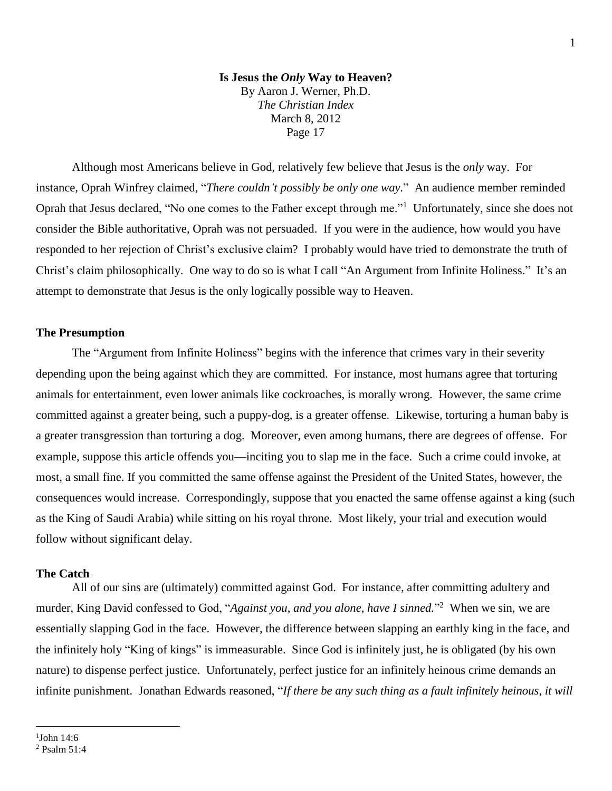Although most Americans believe in God, relatively few believe that Jesus is the *only* way. For instance, Oprah Winfrey claimed, "*There couldn't possibly be only one way.*" An audience member reminded Oprah that Jesus declared, "No one comes to the Father except through me."<sup>1</sup> Unfortunately, since she does not consider the Bible authoritative, Oprah was not persuaded. If you were in the audience, how would you have responded to her rejection of Christ's exclusive claim? I probably would have tried to demonstrate the truth of Christ's claim philosophically. One way to do so is what I call "An Argument from Infinite Holiness." It's an attempt to demonstrate that Jesus is the only logically possible way to Heaven.

## **The Presumption**

The "Argument from Infinite Holiness" begins with the inference that crimes vary in their severity depending upon the being against which they are committed. For instance, most humans agree that torturing animals for entertainment, even lower animals like cockroaches, is morally wrong. However, the same crime committed against a greater being, such a puppy-dog, is a greater offense. Likewise, torturing a human baby is a greater transgression than torturing a dog. Moreover, even among humans, there are degrees of offense. For example, suppose this article offends you—inciting you to slap me in the face. Such a crime could invoke, at most, a small fine. If you committed the same offense against the President of the United States, however, the consequences would increase. Correspondingly, suppose that you enacted the same offense against a king (such as the King of Saudi Arabia) while sitting on his royal throne. Most likely, your trial and execution would follow without significant delay.

## **The Catch**

All of our sins are (ultimately) committed against God. For instance, after committing adultery and murder, King David confessed to God, "*Against you, and you alone, have I sinned.*" 2 When we sin, we are essentially slapping God in the face. However, the difference between slapping an earthly king in the face, and the infinitely holy "King of kings" is immeasurable. Since God is infinitely just, he is obligated (by his own nature) to dispense perfect justice. Unfortunately, perfect justice for an infinitely heinous crime demands an infinite punishment. Jonathan Edwards reasoned, "*If there be any such thing as a fault infinitely heinous, it will* 

 $\overline{a}$ 

<sup>1</sup> John 14:6 <sup>2</sup> Psalm 51:4